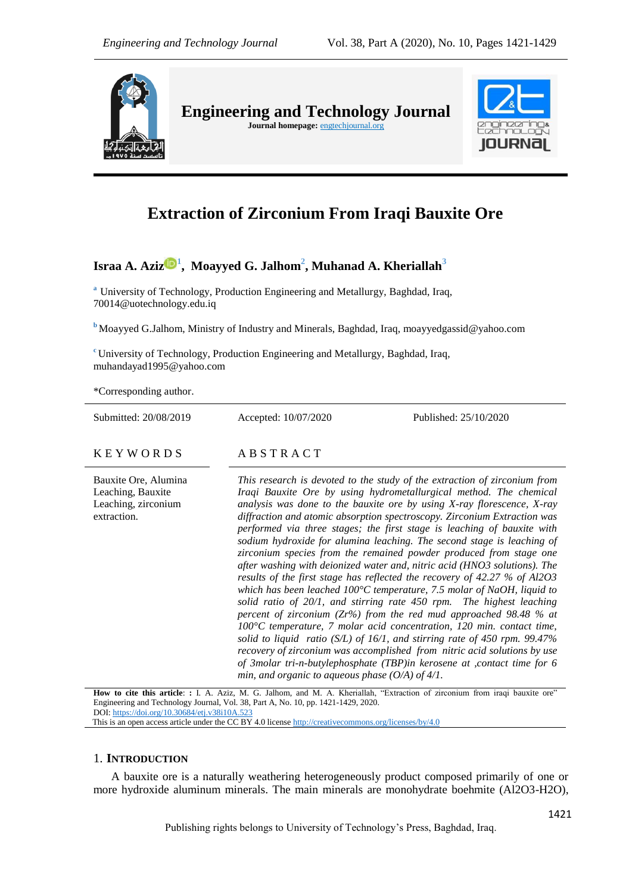

# **Extraction of Zirconium From Iraqi Bauxite Ore**

## **Israa A. Aziz <sup>1</sup> , Moayyed G. Jalhom<sup>2</sup> , Muhanad A. Kheriallah<sup>3</sup>**

**<sup>a</sup>** University of Technology, Production Engineering and Metallurgy, Baghdad, Iraq, 70014@uotechnology.edu.iq

**<sup>b</sup>** Moayyed G.Jalhom, Ministry of Industry and Minerals, Baghdad, Iraq, [moayyedgassid@yahoo.com](mailto:moayyedgassid@yahoo.com)

**<sup>c</sup>** University of Technology, Production Engineering and Metallurgy, Baghdad, Iraq, muhandayad1995@yahoo.com

\*Corresponding author.

Submitted: 20/08/2019 Accepted: 10/07/2020 Published: 25/10/2020

K E Y W O R D S A B S T R A C T

Bauxite Ore, Alumina Leaching, Bauxite Leaching, zirconium extraction.

*This research is devoted to the study of the extraction of zirconium from Iraqi Bauxite Ore by using hydrometallurgical method. The chemical analysis was done to the bauxite ore by using X-ray florescence, X-ray diffraction and atomic absorption spectroscopy. Zirconium Extraction was performed via three stages; the first stage is leaching of bauxite with sodium hydroxide for alumina leaching. The second stage is leaching of zirconium species from the remained powder produced from stage one after washing with deionized water and, nitric acid (HNO3 solutions). The results of the first stage has reflected the recovery of 42.27 % of Al2O3 which has been leached 100°C temperature, 7.5 molar of NaOH, liquid to solid ratio of 20/1, and stirring rate 450 rpm. The highest leaching percent of zirconium (Zr%) from the red mud approached 98.48 % at 100°C temperature, 7 molar acid concentration, 120 min. contact time, solid to liquid ratio (S/L) of 16/1, and stirring rate of 450 rpm. 99.47% recovery of zirconium was accomplished from nitric acid solutions by use of 3molar tri-n-butylephosphate (TBP)in kerosene at ,contact time for 6 min, and organic to aqueous phase (O/A) of 4/1.*

How to cite this article: **:** I. A. Aziz, M. G. Jalhom, and M. A. Kheriallah, "Extraction of zirconium from iraqi bauxite ore" Engineering and Technology Journal, Vol. 38, Part A, No. 10, pp. 1421-1429, 2020. DOI: <https://doi.org/10.30684/etj.v38i10A.523>

This is an open access article under the CC BY 4.0 licens[e http://creativecommons.org/licenses/by/4.0](http://creativecommons.org/licenses/by/4.0)

## 1. **INTRODUCTION**

A bauxite ore is a naturally weathering heterogeneously product composed primarily of one or more hydroxide aluminum minerals. The main minerals are monohydrate boehmite (Al2O3-H2O),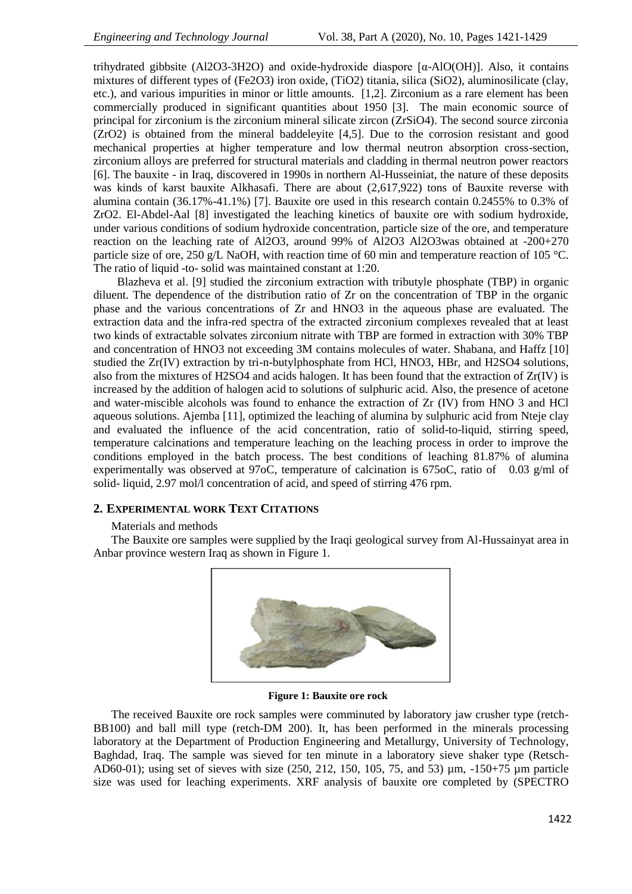trihydrated gibbsite (Al2O3-3H2O) and oxide-hydroxide diaspore [α-AlO(OH)]. Also, it contains mixtures of different types of (Fe2O3) iron oxide, (TiO2) titania, silica (SiO2), aluminosilicate (clay, etc.), and various impurities in minor or little amounts. [1,2]. Zirconium as a rare element has been commercially produced in significant quantities about 1950 [3]. The main economic source of principal for zirconium is the zirconium mineral silicate zircon (ZrSiO4). The second source zirconia (ZrO2) is obtained from the mineral baddeleyite [4,5]. Due to the corrosion resistant and good mechanical properties at higher temperature and low thermal neutron absorption cross-section, zirconium alloys are preferred for structural materials and cladding in thermal neutron power reactors [6]. The bauxite - in Iraq, discovered in 1990s in northern Al-Husseiniat, the nature of these deposits was kinds of karst bauxite Alkhasafi. There are about (2,617,922) tons of Bauxite reverse with alumina contain (36.17%-41.1%) [7]. Bauxite ore used in this research contain 0.2455% to 0.3% of ZrO2. El-Abdel-Aal [8] investigated the leaching kinetics of bauxite ore with sodium hydroxide, under various conditions of sodium hydroxide concentration, particle size of the ore, and temperature reaction on the leaching rate of Al2O3, around 99% of Al2O3 Al2O3was obtained at -200+270 particle size of ore, 250 g/L NaOH, with reaction time of 60 min and temperature reaction of 105 °C. The ratio of liquid -to- solid was maintained constant at 1:20.

 Blazheva et al. [9] studied the zirconium extraction with tributyle phosphate (TBP) in organic diluent. The dependence of the distribution ratio of Zr on the concentration of TBP in the organic phase and the various concentrations of Zr and HNO3 in the aqueous phase are evaluated. The extraction data and the infra-red spectra of the extracted zirconium complexes revealed that at least two kinds of extractable solvates zirconium nitrate with TBP are formed in extraction with 30% TBP and concentration of HNO3 not exceeding 3M contains molecules of water. Shabana, and Haffz [10] studied the Zr(IV) extraction by tri-n-butylphosphate from HCl, HNO3, HBr, and H2SO4 solutions, also from the mixtures of H2SO4 and acids halogen. It has been found that the extraction of Zr(IV) is increased by the addition of halogen acid to solutions of sulphuric acid. Also, the presence of acetone and water-miscible alcohols was found to enhance the extraction of Zr (IV) from HNO 3 and HCl aqueous solutions. Ajemba [11], optimized the leaching of alumina by sulphuric acid from Nteje clay and evaluated the influence of the acid concentration, ratio of solid-to-liquid, stirring speed, temperature calcinations and temperature leaching on the leaching process in order to improve the conditions employed in the batch process. The best conditions of leaching 81.87% of alumina experimentally was observed at 97oC, temperature of calcination is 675oC, ratio of 0.03 g/ml of solid- liquid, 2.97 mol/l concentration of acid, and speed of stirring 476 rpm.

## **2. EXPERIMENTAL WORK TEXT CITATIONS**

#### Materials and methods

The Bauxite ore samples were supplied by the Iraqi geological survey from Al-Hussainyat area in Anbar province western Iraq as shown in Figure 1.



 **Figure 1: Bauxite ore rock**

The received Bauxite ore rock samples were comminuted by laboratory jaw crusher type (retch-BB100) and ball mill type (retch-DM 200). It, has been performed in the minerals processing laboratory at the Department of Production Engineering and Metallurgy, University of Technology, Baghdad, Iraq. The sample was sieved for ten minute in a laboratory sieve shaker type (Retsch-AD60-01); using set of sieves with size (250, 212, 150, 105, 75, and 53) µm, -150+75 µm particle size was used for leaching experiments. XRF analysis of bauxite ore completed by (SPECTRO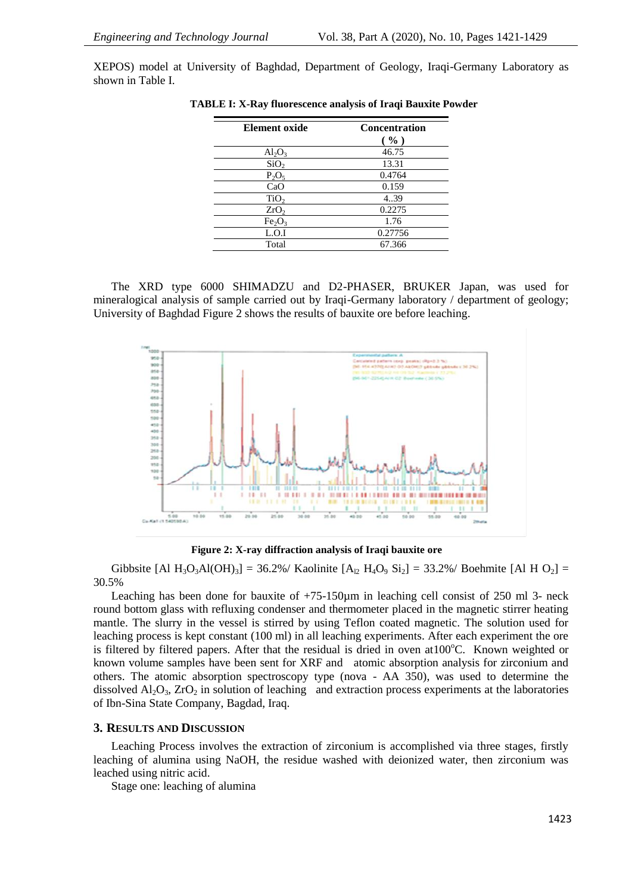XEPOS) model at University of Baghdad, Department of Geology, Iraqi-Germany Laboratory as shown in Table I.

| Element oxide                  | <b>Concentration</b><br>( %) |
|--------------------------------|------------------------------|
| $\text{Al}_2\text{O}_3$        | 46.75                        |
| SiO <sub>2</sub>               | 13.31                        |
| $P_2O_5$                       | 0.4764                       |
| CaO                            | 0.159                        |
| TiO <sub>2</sub>               | 4.39                         |
| ZrO <sub>2</sub>               | 0.2275                       |
| Fe <sub>2</sub> O <sub>3</sub> | 1.76                         |
| L.O.I                          | 0.27756                      |
| Total                          | 67.366                       |

 **TABLE I: X-Ray fluorescence analysis of Iraqi Bauxite Powder**

The XRD type 6000 SHIMADZU and D2-PHASER, BRUKER Japan, was used for mineralogical analysis of sample carried out by Iraqi-Germany laboratory / department of geology; University of Baghdad Figure 2 shows the results of bauxite ore before leaching.



 **Figure 2: X-ray diffraction analysis of Iraqi bauxite ore**

Gibbsite [Al H<sub>3</sub>O<sub>3</sub>Al(OH)<sub>3</sub>] = 36.2%/ Kaolinite [A<sub>l2</sub> H<sub>4</sub>O<sub>9</sub> Si<sub>2</sub>] = 33.2%/ Boehmite [Al H O<sub>2</sub>] = 30.5%

Leaching has been done for bauxite of  $+75-150\mu m$  in leaching cell consist of 250 ml 3- neck round bottom glass with refluxing condenser and thermometer placed in the magnetic stirrer heating mantle. The slurry in the vessel is stirred by using Teflon coated magnetic. The solution used for leaching process is kept constant (100 ml) in all leaching experiments. After each experiment the ore is filtered by filtered papers. After that the residual is dried in oven at  $100^{\circ}$ C. Known weighted or known volume samples have been sent for XRF and atomic absorption analysis for zirconium and others. The atomic absorption spectroscopy type (nova - AA 350), was used to determine the dissolved  $Al_2O_3$ ,  $ZrO_2$  in solution of leaching and extraction process experiments at the laboratories of Ibn-Sina State Company, Bagdad, Iraq.

#### **3. RESULTS AND DISCUSSION**

Leaching Process involves the extraction of zirconium is accomplished via three stages, firstly leaching of alumina using NaOH, the residue washed with deionized water, then zirconium was leached using nitric acid.

Stage one: leaching of alumina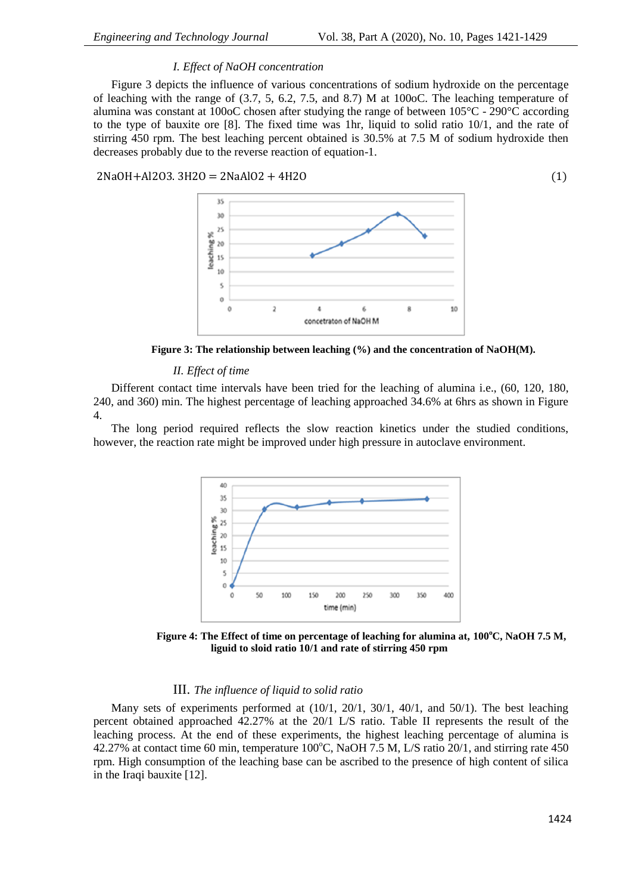## *I. Effect of NaOH concentration*

Figure 3 depicts the influence of various concentrations of sodium hydroxide on the percentage of leaching with the range of (3.7, 5, 6.2, 7.5, and 8.7) M at 100oC. The leaching temperature of alumina was constant at 100oC chosen after studying the range of between  $105^{\circ}$ C - 290<sup>o</sup>C according to the type of bauxite ore [8]. The fixed time was 1hr, liquid to solid ratio 10/1, and the rate of stirring 450 rpm. The best leaching percent obtained is 30.5% at 7.5 M of sodium hydroxide then decreases probably due to the reverse reaction of equation-1.

2NaOH+Al2O3. 3H2O = 2NaAlO2 + 4H2O (1)



 **Figure 3: The relationship between leaching (%) and the concentration of NaOH(M).**

## *II. Effect of time*

Different contact time intervals have been tried for the leaching of alumina i.e., (60, 120, 180, 240, and 360) min. The highest percentage of leaching approached 34.6% at 6hrs as shown in Figure 4.

The long period required reflects the slow reaction kinetics under the studied conditions, however, the reaction rate might be improved under high pressure in autoclave environment.



 **Figure 4: The Effect of time on percentage of leaching for alumina at, 100<sup>o</sup>C, NaOH 7.5 M, liguid to sloid ratio 10/1 and rate of stirring 450 rpm**

## III. *The influence of liquid to solid ratio*

Many sets of experiments performed at  $(10/1, 20/1, 30/1, 40/1,$  and  $50/1$ ). The best leaching percent obtained approached 42.27% at the 20/1 L/S ratio. Table II represents the result of the leaching process. At the end of these experiments, the highest leaching percentage of alumina is 42.27% at contact time 60 min, temperature  $100^{\circ}$ C, NaOH 7.5 M, L/S ratio 20/1, and stirring rate 450 rpm. High consumption of the leaching base can be ascribed to the presence of high content of silica in the Iraqi bauxite [12].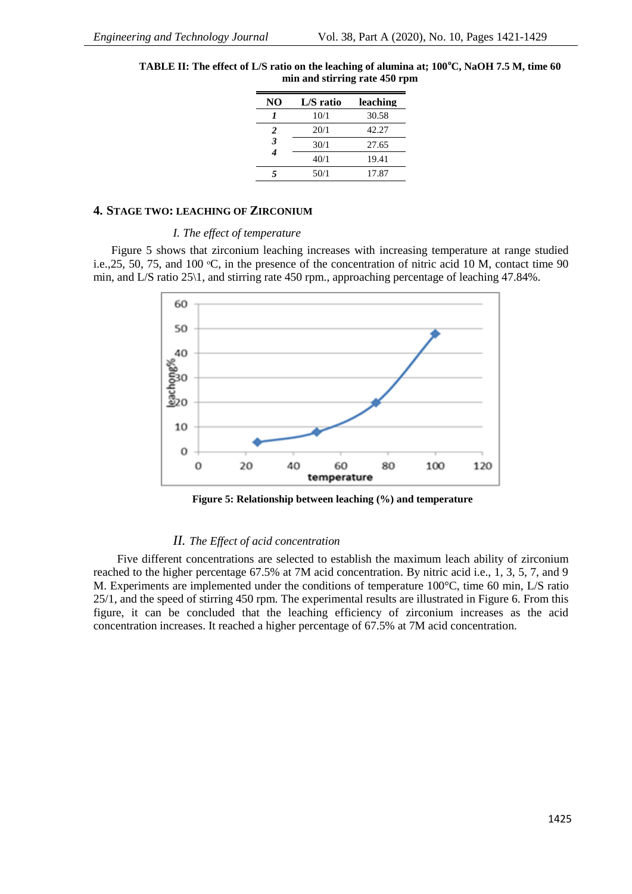| NO | L/S ratio | leaching |
|----|-----------|----------|
|    | 10/1      | 30.58    |
| 2  | 20/1      | 42.27    |
| 3  | 30/1      | 27.65    |
| 4  | 40/1      | 19.41    |
|    | 50/1      | 17.87    |

**TABLE II: The effect of L/S ratio on the leaching of alumina at; 100<sup>o</sup>C, NaOH 7.5 M, time 60 min and stirring rate 450 rpm**

## **4. STAGE TWO: LEACHING OF ZIRCONIUM**

## *I. The effect of temperature*

Figure 5 shows that zirconium leaching increases with increasing temperature at range studied i.e., 25, 50, 75, and 100 °C, in the presence of the concentration of nitric acid 10 M, contact time 90 min, and L/S ratio 25\1, and stirring rate 450 rpm., approaching percentage of leaching 47.84%.



 **Figure 5: Relationship between leaching (%) and temperature**

## *II. The Effect of acid concentration*

 Five different concentrations are selected to establish the maximum leach ability of zirconium reached to the higher percentage 67.5% at 7M acid concentration. By nitric acid i.e., 1, 3, 5, 7, and 9 M. Experiments are implemented under the conditions of temperature 100°C, time 60 min, L/S ratio 25/1, and the speed of stirring 450 rpm. The experimental results are illustrated in Figure 6. From this figure, it can be concluded that the leaching efficiency of zirconium increases as the acid concentration increases. It reached a higher percentage of 67.5% at 7M acid concentration.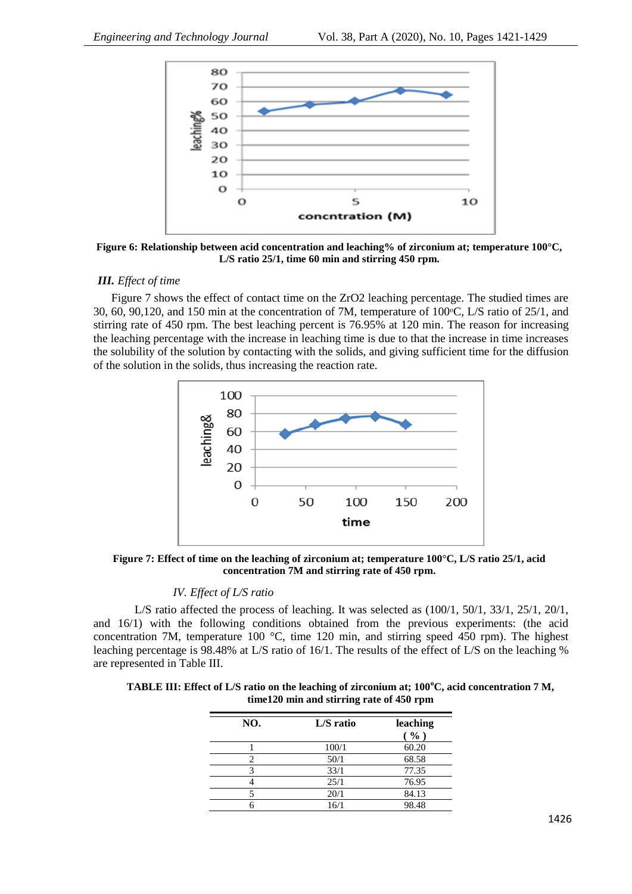

**Figure 6: Relationship between acid concentration and leaching% of zirconium at; temperature 100°C, L/S ratio 25/1, time 60 min and stirring 450 rpm.**

## *III. Effect of time*

Figure 7 shows the effect of contact time on the ZrO2 leaching percentage. The studied times are 30, 60, 90,120, and 150 min at the concentration of 7M, temperature of  $100\degree$ C, L/S ratio of 25/1, and stirring rate of 450 rpm. The best leaching percent is 76.95% at 120 min. The reason for increasing the leaching percentage with the increase in leaching time is due to that the increase in time increases the solubility of the solution by contacting with the solids, and giving sufficient time for the diffusion of the solution in the solids, thus increasing the reaction rate.



**Figure 7: Effect of time on the leaching of zirconium at; temperature 100°C, L/S ratio 25/1, acid concentration 7M and stirring rate of 450 rpm.**

#### *IV. Effect of L/S ratio*

L/S ratio affected the process of leaching. It was selected as  $(100/1, 50/1, 33/1, 25/1, 20/1, 33/1)$ and 16/1) with the following conditions obtained from the previous experiments: (the acid concentration 7M, temperature 100 °C, time 120 min, and stirring speed 450 rpm). The highest leaching percentage is 98.48% at L/S ratio of 16/1. The results of the effect of L/S on the leaching % are represented in Table III.

**TABLE III: Effect of L/S ratio on the leaching of zirconium at; 100<sup>o</sup>C, acid concentration 7 M, time120 min and stirring rate of 450 rpm**

| NO. | L/S ratio | leaching<br>( %) |
|-----|-----------|------------------|
|     | 100/1     | 60.20            |
| 2   | 50/1      | 68.58            |
| 3   | 33/1      | 77.35            |
|     | 25/1      | 76.95            |
|     | 20/1      | 84.13            |
|     | 16/1      | 98.48            |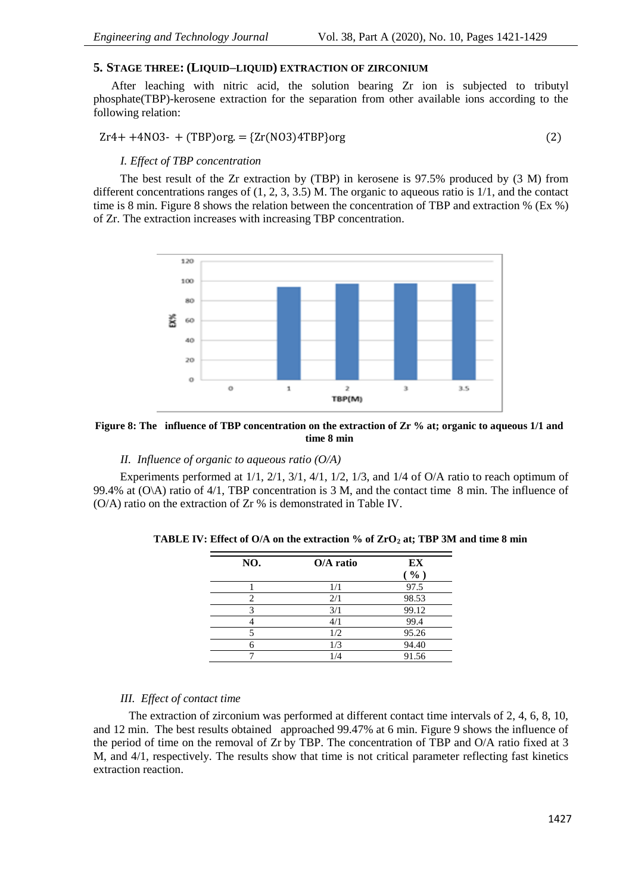## **5. STAGE THREE: (LIQUID–LIQUID) EXTRACTION OF ZIRCONIUM**

After leaching with nitric acid, the solution bearing Zr ion is subjected to tributyl phosphate(TBP)-kerosene extraction for the separation from other available ions according to the following relation:

$$
Zr4 + +4NO3 - + (TBP)org = \{Zr(NO3)4TBP\}org
$$
\n
$$
(2)
$$

## *I. Effect of TBP concentration*

 The best result of the Zr extraction by (TBP) in kerosene is 97.5% produced by (3 M) from different concentrations ranges of  $(1, 2, 3, 3.5)$  M. The organic to aqueous ratio is  $1/1$ , and the contact time is 8 min. Figure 8 shows the relation between the concentration of TBP and extraction % (Ex %) of Zr. The extraction increases with increasing TBP concentration.



**Figure 8: The influence of TBP concentration on the extraction of Zr % at; organic to aqueous 1/1 and time 8 min**

## *II. Influence of organic to aqueous ratio (O/A)*

 Experiments performed at 1/1, 2/1, 3/1, 4/1, 1/2, 1/3, and 1/4 of O/A ratio to reach optimum of 99.4% at (O\A) ratio of 4/1, TBP concentration is 3 M, and the contact time 8 min. The influence of (O/A) ratio on the extraction of Zr % is demonstrated in Table IV.

| NO. | $O/A$ ratio | EX    |
|-----|-------------|-------|
|     |             | ( %)  |
|     | 1/1         | 97.5  |
|     | 2/1         | 98.53 |
|     | 3/1         | 99.12 |
|     | 4/1         | 99.4  |
|     | 1/2         | 95.26 |
|     | 1/3         | 94.40 |
|     | 1/4         | 91.56 |

**TABLE IV: Effect of O/A on the extraction % of ZrO<sup>2</sup> at; TBP 3M and time 8 min**

## *III. Effect of contact time*

 The extraction of zirconium was performed at different contact time intervals of 2, 4, 6, 8, 10, and 12 min. The best results obtained approached 99.47% at 6 min. Figure 9 shows the influence of the period of time on the removal of Zr by TBP. The concentration of TBP and O/A ratio fixed at 3 M, and 4/1, respectively. The results show that time is not critical parameter reflecting fast kinetics extraction reaction.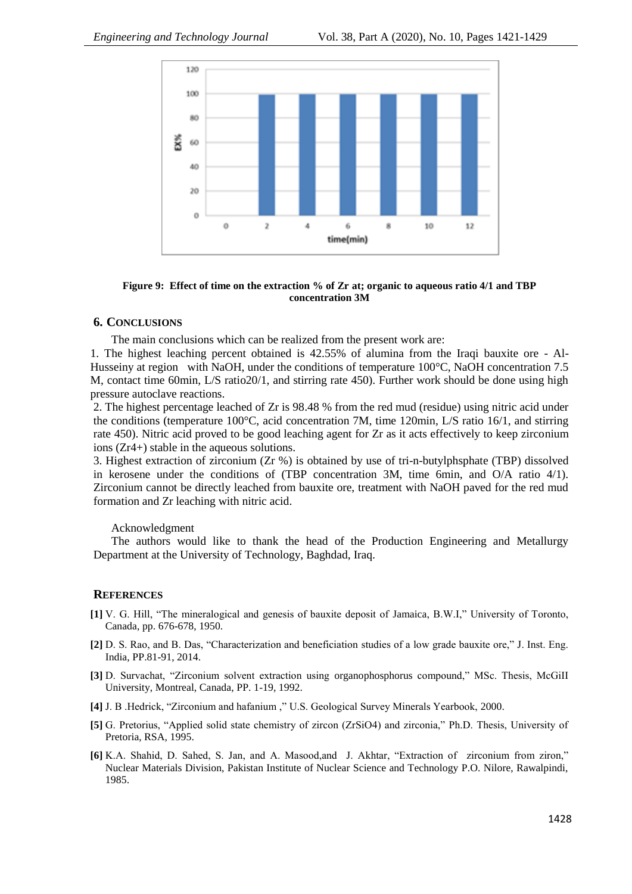

**Figure 9: Effect of time on the extraction % of Zr at; organic to aqueous ratio 4/1 and TBP concentration 3M**

## **6. CONCLUSIONS**

The main conclusions which can be realized from the present work are:

1. The highest leaching percent obtained is 42.55% of alumina from the Iraqi bauxite ore - Al-Husseiny at region with NaOH, under the conditions of temperature 100°C, NaOH concentration 7.5 M, contact time 60min, L/S ratio20/1, and stirring rate 450). Further work should be done using high pressure autoclave reactions.

2. The highest percentage leached of Zr is 98.48 % from the red mud (residue) using nitric acid under the conditions (temperature 100°C, acid concentration 7M, time 120min, L/S ratio 16/1, and stirring rate 450). Nitric acid proved to be good leaching agent for Zr as it acts effectively to keep zirconium ions (Zr4+) stable in the aqueous solutions.

3. Highest extraction of zirconium (Zr %) is obtained by use of tri-n-butylphsphate (TBP) dissolved in kerosene under the conditions of (TBP concentration 3M, time 6min, and O/A ratio 4/1). Zirconium cannot be directly leached from bauxite ore, treatment with NaOH paved for the red mud formation and Zr leaching with nitric acid.

## Acknowledgment

The authors would like to thank the head of the Production Engineering and Metallurgy Department at the University of Technology, Baghdad, Iraq.

#### **REFERENCES**

- **[1]** V. G. Hill, "The mineralogical and genesis of bauxite deposit of Jamaica, B.W.I," University of Toronto, Canada, pp. 676-678, 1950.
- **[2]** D. S. Rao, and B. Das, "Characterization and beneficiation studies of a low grade bauxite ore," J. Inst. Eng. India, PP.81-91, 2014.
- **[3]** D. Survachat, "Zirconium solvent extraction using organophosphorus compound," MSc. Thesis, McGiII University, Montreal, Canada, PP. 1-19, 1992.
- **[4]** J. B .Hedrick, "Zirconium and hafanium ," U.S. Geological Survey Minerals Yearbook, 2000.
- **[5]** G. Pretorius, "Applied solid state chemistry of zircon (ZrSiO4) and zirconia," Ph.D. Thesis, University of Pretoria, RSA, 1995.
- **[6]** K.A. Shahid, D. Sahed, S. Jan, and A. Masood,and J. Akhtar, "Extraction of zirconium from ziron," Nuclear Materials Division, Pakistan Institute of Nuclear Science and Technology P.O. Nilore, Rawalpindi, 1985.